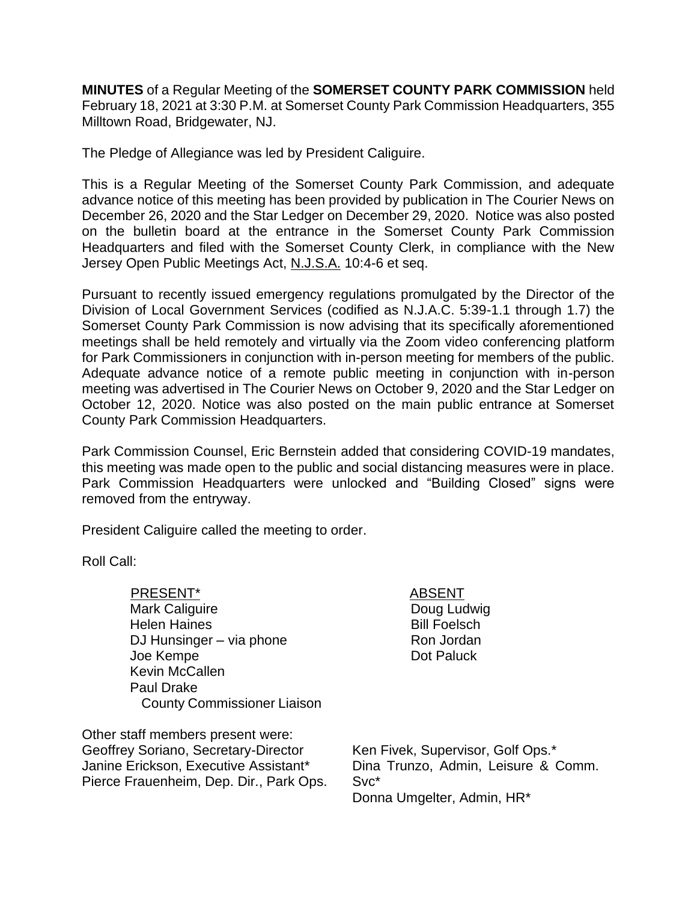**MINUTES** of a Regular Meeting of the **SOMERSET COUNTY PARK COMMISSION** held February 18, 2021 at 3:30 P.M. at Somerset County Park Commission Headquarters, 355 Milltown Road, Bridgewater, NJ.

The Pledge of Allegiance was led by President Caliguire.

This is a Regular Meeting of the Somerset County Park Commission, and adequate advance notice of this meeting has been provided by publication in The Courier News on December 26, 2020 and the Star Ledger on December 29, 2020. Notice was also posted on the bulletin board at the entrance in the Somerset County Park Commission Headquarters and filed with the Somerset County Clerk, in compliance with the New Jersey Open Public Meetings Act, N.J.S.A. 10:4-6 et seq.

Pursuant to recently issued emergency regulations promulgated by the Director of the Division of Local Government Services (codified as N.J.A.C. 5:39-1.1 through 1.7) the Somerset County Park Commission is now advising that its specifically aforementioned meetings shall be held remotely and virtually via the Zoom video conferencing platform for Park Commissioners in conjunction with in-person meeting for members of the public. Adequate advance notice of a remote public meeting in conjunction with in-person meeting was advertised in The Courier News on October 9, 2020 and the Star Ledger on October 12, 2020. Notice was also posted on the main public entrance at Somerset County Park Commission Headquarters.

Park Commission Counsel, Eric Bernstein added that considering COVID-19 mandates, this meeting was made open to the public and social distancing measures were in place. Park Commission Headquarters were unlocked and "Building Closed" signs were removed from the entryway.

President Caliguire called the meeting to order.

Roll Call:

PRESENT\* ABSENT Mark Caliguire Helen Haines DJ Hunsinger – via phone Joe Kempe Kevin McCallen Paul Drake County Commissioner Liaison

Doug Ludwig Bill Foelsch Ron Jordan Dot Paluck

Other staff members present were: Geoffrey Soriano, Secretary-Director Janine Erickson, Executive Assistant\* Pierce Frauenheim, Dep. Dir., Park Ops.

Ken Fivek, Supervisor, Golf Ops.\* Dina Trunzo, Admin, Leisure & Comm. Svc\* Donna Umgelter, Admin, HR\*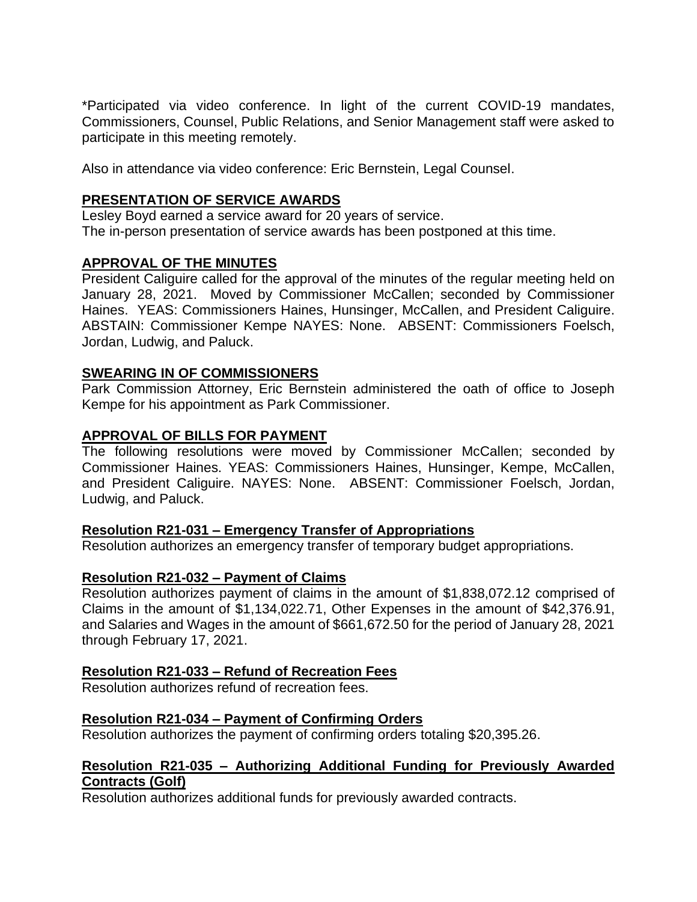\*Participated via video conference. In light of the current COVID-19 mandates, Commissioners, Counsel, Public Relations, and Senior Management staff were asked to participate in this meeting remotely.

Also in attendance via video conference: Eric Bernstein, Legal Counsel.

# **PRESENTATION OF SERVICE AWARDS**

Lesley Boyd earned a service award for 20 years of service. The in-person presentation of service awards has been postponed at this time.

# **APPROVAL OF THE MINUTES**

President Caliguire called for the approval of the minutes of the regular meeting held on January 28, 2021. Moved by Commissioner McCallen; seconded by Commissioner Haines. YEAS: Commissioners Haines, Hunsinger, McCallen, and President Caliguire. ABSTAIN: Commissioner Kempe NAYES: None. ABSENT: Commissioners Foelsch, Jordan, Ludwig, and Paluck.

## **SWEARING IN OF COMMISSIONERS**

Park Commission Attorney, Eric Bernstein administered the oath of office to Joseph Kempe for his appointment as Park Commissioner.

# **APPROVAL OF BILLS FOR PAYMENT**

The following resolutions were moved by Commissioner McCallen; seconded by Commissioner Haines. YEAS: Commissioners Haines, Hunsinger, Kempe, McCallen, and President Caliguire. NAYES: None. ABSENT: Commissioner Foelsch, Jordan, Ludwig, and Paluck.

# **Resolution R21-031 – Emergency Transfer of Appropriations**

Resolution authorizes an emergency transfer of temporary budget appropriations.

### **Resolution R21-032 – Payment of Claims**

Resolution authorizes payment of claims in the amount of \$1,838,072.12 comprised of Claims in the amount of \$1,134,022.71, Other Expenses in the amount of \$42,376.91, and Salaries and Wages in the amount of \$661,672.50 for the period of January 28, 2021 through February 17, 2021.

# **Resolution R21-033 – Refund of Recreation Fees**

Resolution authorizes refund of recreation fees.

# **Resolution R21-034 – Payment of Confirming Orders**

Resolution authorizes the payment of confirming orders totaling \$20,395.26.

## **Resolution R21-035 – Authorizing Additional Funding for Previously Awarded Contracts (Golf)**

Resolution authorizes additional funds for previously awarded contracts.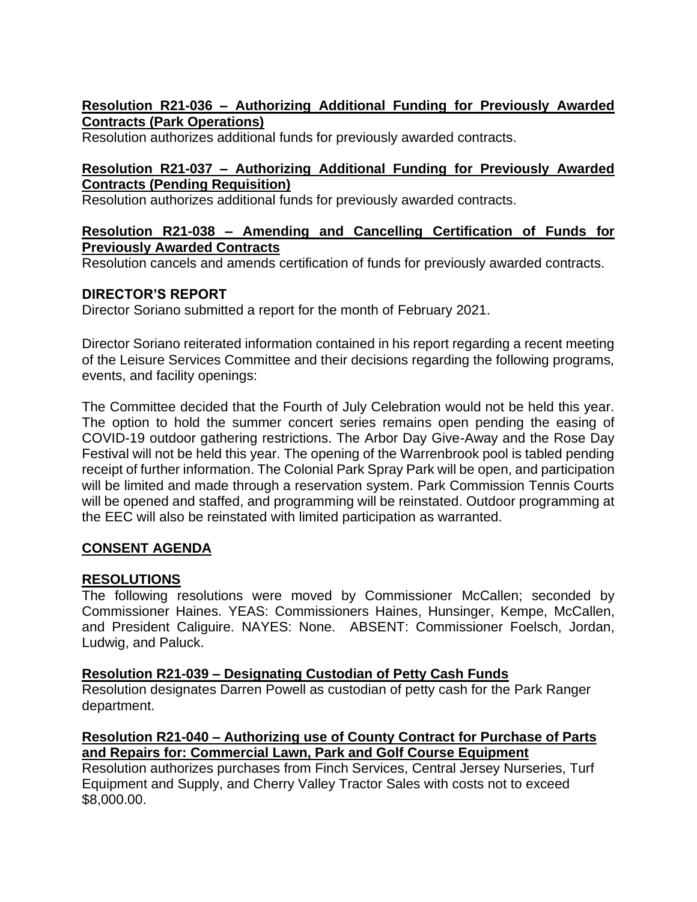# **Resolution R21-036 – Authorizing Additional Funding for Previously Awarded Contracts (Park Operations)**

Resolution authorizes additional funds for previously awarded contracts.

## **Resolution R21-037 – Authorizing Additional Funding for Previously Awarded Contracts (Pending Requisition)**

Resolution authorizes additional funds for previously awarded contracts.

## **Resolution R21-038 – Amending and Cancelling Certification of Funds for Previously Awarded Contracts**

Resolution cancels and amends certification of funds for previously awarded contracts.

# **DIRECTOR'S REPORT**

Director Soriano submitted a report for the month of February 2021.

Director Soriano reiterated information contained in his report regarding a recent meeting of the Leisure Services Committee and their decisions regarding the following programs, events, and facility openings:

The Committee decided that the Fourth of July Celebration would not be held this year. The option to hold the summer concert series remains open pending the easing of COVID-19 outdoor gathering restrictions. The Arbor Day Give-Away and the Rose Day Festival will not be held this year. The opening of the Warrenbrook pool is tabled pending receipt of further information. The Colonial Park Spray Park will be open, and participation will be limited and made through a reservation system. Park Commission Tennis Courts will be opened and staffed, and programming will be reinstated. Outdoor programming at the EEC will also be reinstated with limited participation as warranted.

# **CONSENT AGENDA**

# **RESOLUTIONS**

The following resolutions were moved by Commissioner McCallen; seconded by Commissioner Haines. YEAS: Commissioners Haines, Hunsinger, Kempe, McCallen, and President Caliguire. NAYES: None. ABSENT: Commissioner Foelsch, Jordan, Ludwig, and Paluck.

# **Resolution R21-039 – Designating Custodian of Petty Cash Funds**

Resolution designates Darren Powell as custodian of petty cash for the Park Ranger department.

# **Resolution R21-040 – Authorizing use of County Contract for Purchase of Parts and Repairs for: Commercial Lawn, Park and Golf Course Equipment**

Resolution authorizes purchases from Finch Services, Central Jersey Nurseries, Turf Equipment and Supply, and Cherry Valley Tractor Sales with costs not to exceed \$8,000.00.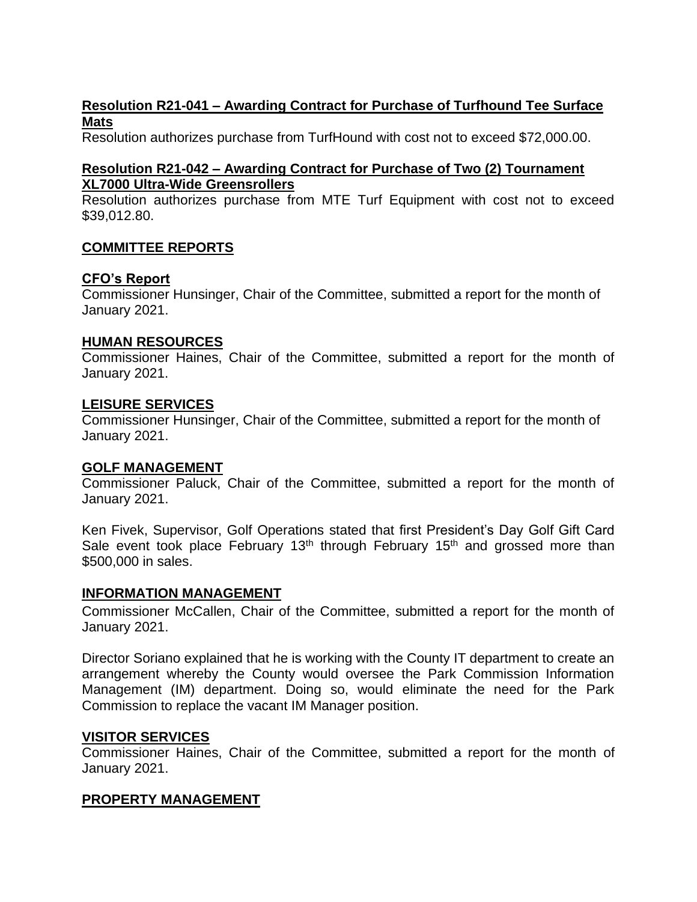# **Resolution R21-041 – Awarding Contract for Purchase of Turfhound Tee Surface Mats**

Resolution authorizes purchase from TurfHound with cost not to exceed \$72,000.00.

# **Resolution R21-042 – Awarding Contract for Purchase of Two (2) Tournament XL7000 Ultra-Wide Greensrollers**

Resolution authorizes purchase from MTE Turf Equipment with cost not to exceed \$39,012.80.

## **COMMITTEE REPORTS**

## **CFO's Report**

Commissioner Hunsinger, Chair of the Committee, submitted a report for the month of January 2021.

#### **HUMAN RESOURCES**

Commissioner Haines, Chair of the Committee, submitted a report for the month of January 2021.

#### **LEISURE SERVICES**

Commissioner Hunsinger, Chair of the Committee, submitted a report for the month of January 2021.

### **GOLF MANAGEMENT**

Commissioner Paluck, Chair of the Committee, submitted a report for the month of January 2021.

Ken Fivek, Supervisor, Golf Operations stated that first President's Day Golf Gift Card Sale event took place February  $13<sup>th</sup>$  through February  $15<sup>th</sup>$  and grossed more than \$500,000 in sales.

### **INFORMATION MANAGEMENT**

Commissioner McCallen, Chair of the Committee, submitted a report for the month of January 2021.

Director Soriano explained that he is working with the County IT department to create an arrangement whereby the County would oversee the Park Commission Information Management (IM) department. Doing so, would eliminate the need for the Park Commission to replace the vacant IM Manager position.

### **VISITOR SERVICES**

Commissioner Haines, Chair of the Committee, submitted a report for the month of January 2021.

### **PROPERTY MANAGEMENT**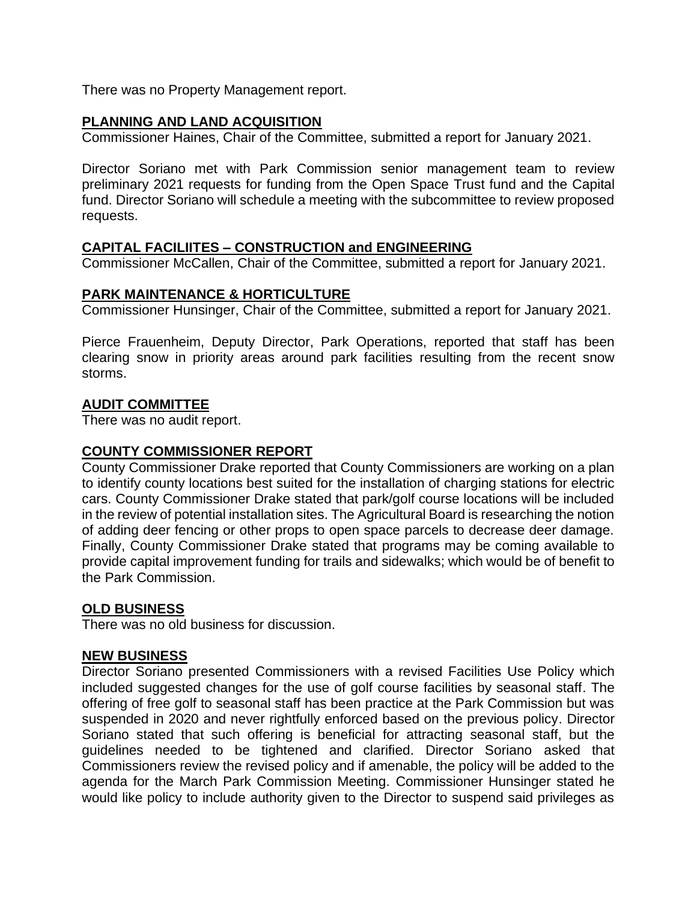There was no Property Management report.

#### **PLANNING AND LAND ACQUISITION**

Commissioner Haines, Chair of the Committee, submitted a report for January 2021.

Director Soriano met with Park Commission senior management team to review preliminary 2021 requests for funding from the Open Space Trust fund and the Capital fund. Director Soriano will schedule a meeting with the subcommittee to review proposed requests.

### **CAPITAL FACILIITES – CONSTRUCTION and ENGINEERING**

Commissioner McCallen, Chair of the Committee, submitted a report for January 2021.

### **PARK MAINTENANCE & HORTICULTURE**

Commissioner Hunsinger, Chair of the Committee, submitted a report for January 2021.

Pierce Frauenheim, Deputy Director, Park Operations, reported that staff has been clearing snow in priority areas around park facilities resulting from the recent snow storms.

#### **AUDIT COMMITTEE**

There was no audit report.

#### **COUNTY COMMISSIONER REPORT**

County Commissioner Drake reported that County Commissioners are working on a plan to identify county locations best suited for the installation of charging stations for electric cars. County Commissioner Drake stated that park/golf course locations will be included in the review of potential installation sites. The Agricultural Board is researching the notion of adding deer fencing or other props to open space parcels to decrease deer damage. Finally, County Commissioner Drake stated that programs may be coming available to provide capital improvement funding for trails and sidewalks; which would be of benefit to the Park Commission.

#### **OLD BUSINESS**

There was no old business for discussion.

#### **NEW BUSINESS**

Director Soriano presented Commissioners with a revised Facilities Use Policy which included suggested changes for the use of golf course facilities by seasonal staff. The offering of free golf to seasonal staff has been practice at the Park Commission but was suspended in 2020 and never rightfully enforced based on the previous policy. Director Soriano stated that such offering is beneficial for attracting seasonal staff, but the guidelines needed to be tightened and clarified. Director Soriano asked that Commissioners review the revised policy and if amenable, the policy will be added to the agenda for the March Park Commission Meeting. Commissioner Hunsinger stated he would like policy to include authority given to the Director to suspend said privileges as